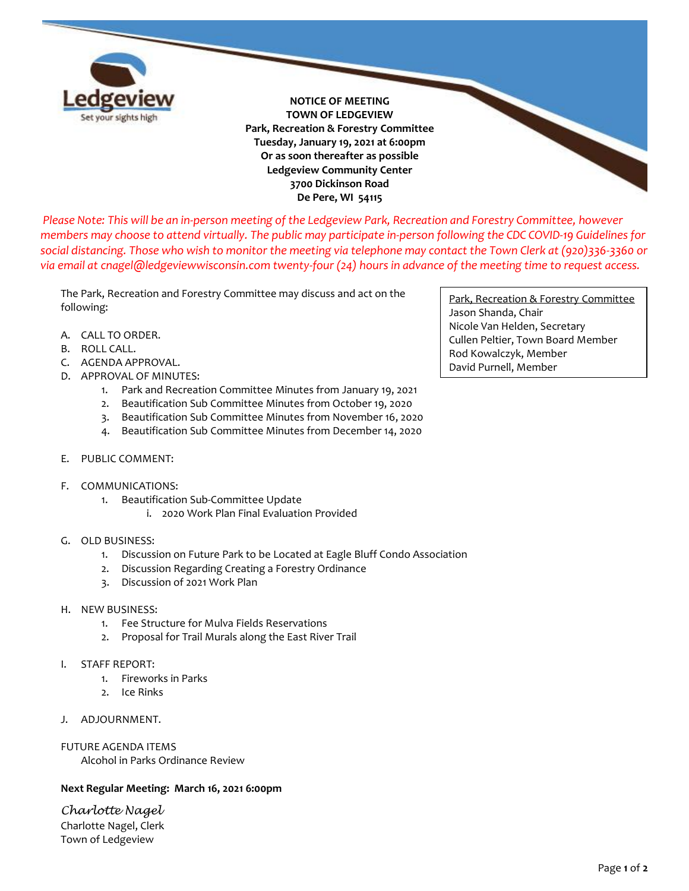

**NOTICE OF MEETING TOWN OF LEDGEVIEW Park, Recreation & Forestry Committee Tuesday, January 19, 2021 at 6:00pm Or as soon thereafter as possible Ledgeview Community Center 3700 Dickinson Road De Pere, WI 54115**

*Please Note: This will be an in-person meeting of the Ledgeview Park, Recreation and Forestry Committee, however members may choose to attend virtually. The public may participate in-person following the CDC COVID-19 Guidelines for social distancing. Those who wish to monitor the meeting via telephone may contact the Town Clerk at (920)336-3360 or via email at cnagel@ledgeviewwisconsin.com twenty-four (24) hours in advance of the meeting time to request access.*

The Park, Recreation and Forestry Committee may discuss and act on the following:

- A. CALL TO ORDER.
- B. ROLL CALL.
- C. AGENDA APPROVAL.
- D. APPROVAL OF MINUTES:
	- 1. Park and Recreation Committee Minutes from January 19, 2021
	- 2. Beautification Sub Committee Minutes from October 19, 2020
	- 3. Beautification Sub Committee Minutes from November 16, 2020
	- 4. Beautification Sub Committee Minutes from December 14, 2020
- E. PUBLIC COMMENT:
- F. COMMUNICATIONS:
	- 1. Beautification Sub-Committee Update
		- i. 2020 Work Plan Final Evaluation Provided
- G. OLD BUSINESS:
	- 1. Discussion on Future Park to be Located at Eagle Bluff Condo Association
	- 2. Discussion Regarding Creating a Forestry Ordinance
	- 3. Discussion of 2021 Work Plan
- H. NEW BUSINESS:
	- 1. Fee Structure for Mulva Fields Reservations
	- 2. Proposal for Trail Murals along the East River Trail
- I. STAFF REPORT:
	- 1. Fireworks in Parks
	- 2. Ice Rinks
- J. ADJOURNMENT.

FUTURE AGENDA ITEMS Alcohol in Parks Ordinance Review

## **Next Regular Meeting: March 16, 2021 6:00pm**

*Charlotte Nagel* Charlotte Nagel, Clerk Town of Ledgeview

Park, Recreation & Forestry Committee Jason Shanda, Chair Nicole Van Helden, Secretary Cullen Peltier, Town Board Member Rod Kowalczyk, Member David Purnell, Member